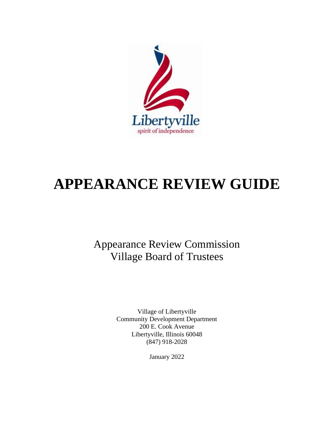

# **APPEARANCE REVIEW GUIDE**

Appearance Review Commission Village Board of Trustees

> Village of Libertyville Community Development Department 200 E. Cook Avenue Libertyville, Illinois 60048 (847) 918-2028

> > January 2022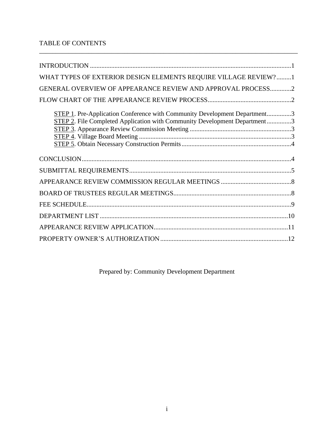# TABLE OF CONTENTS

| WHAT TYPES OF EXTERIOR DESIGN ELEMENTS REQUIRE VILLAGE REVIEW?1                                                                                        |  |
|--------------------------------------------------------------------------------------------------------------------------------------------------------|--|
| GENERAL OVERVIEW OF APPEARANCE REVIEW AND APPROVAL PROCESS2                                                                                            |  |
|                                                                                                                                                        |  |
| STEP 1. Pre-Application Conference with Community Development Department3<br>STEP 2. File Completed Application with Community Development Department3 |  |
|                                                                                                                                                        |  |
|                                                                                                                                                        |  |
|                                                                                                                                                        |  |
|                                                                                                                                                        |  |
|                                                                                                                                                        |  |
|                                                                                                                                                        |  |
|                                                                                                                                                        |  |
|                                                                                                                                                        |  |

\_\_\_\_\_\_\_\_\_\_\_\_\_\_\_\_\_\_\_\_\_\_\_\_\_\_\_\_\_\_\_\_\_\_\_\_\_\_\_\_\_\_\_\_\_\_\_\_\_\_\_\_\_\_\_\_\_\_\_\_\_\_\_\_\_\_\_\_\_\_\_\_\_\_\_\_\_\_\_

Prepared by: Community Development Department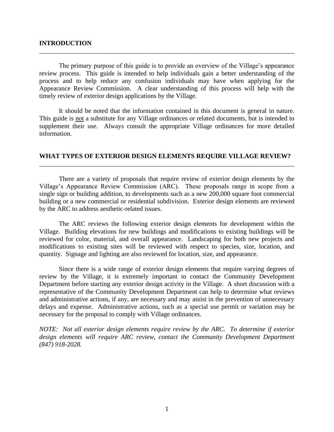#### **INTRODUCTION**

The primary purpose of this guide is to provide an overview of the Village's appearance review process. This guide is intended to help individuals gain a better understanding of the process and to help reduce any confusion individuals may have when applying for the Appearance Review Commission. A clear understanding of this process will help with the timely review of exterior design applications by the Village.

\_\_\_\_\_\_\_\_\_\_\_\_\_\_\_\_\_\_\_\_\_\_\_\_\_\_\_\_\_\_\_\_\_\_\_\_\_\_\_\_\_\_\_\_\_\_\_\_\_\_\_\_\_\_\_\_\_\_\_\_\_\_\_\_\_\_\_\_\_\_\_\_\_\_\_\_\_\_

It should be noted that the information contained in this document is general in nature. This guide is not a substitute for any Village ordinances or related documents, but is intended to supplement their use. Always consult the appropriate Village ordinances for more detailed information.

## **WHAT TYPES OF EXTERIOR DESIGN ELEMENTS REQUIRE VILLAGE REVIEW?** \_\_\_\_\_\_\_\_\_\_\_\_\_\_\_\_\_\_\_\_\_\_\_\_\_\_\_\_\_\_\_\_\_\_\_\_\_\_\_\_\_\_\_\_\_\_\_\_\_\_\_\_\_\_\_\_\_\_\_\_\_\_\_\_\_\_\_\_\_\_\_\_\_\_\_\_\_\_

There are a variety of proposals that require review of exterior design elements by the Village's Appearance Review Commission (ARC). These proposals range in scope from a single sign or building addition, to developments such as a new 200,000 square foot commercial building or a new commercial or residential subdivision. Exterior design elements are reviewed by the ARC to address aesthetic-related issues.

The ARC reviews the following exterior design elements for development within the Village. Building elevations for new buildings and modifications to existing buildings will be reviewed for color, material, and overall appearance. Landscaping for both new projects and modifications to existing sites will be reviewed with respect to species, size, location, and quantity. Signage and lighting are also reviewed for location, size, and appearance.

Since there is a wide range of exterior design elements that require varying degrees of review by the Village, it is extremely important to contact the Community Development Department before starting any exterior design activity in the Village. A short discussion with a representative of the Community Development Department can help to determine what reviews and administrative actions, if any, are necessary and may assist in the prevention of unnecessary delays and expense. Administrative actions, such as a special use permit or variation may be necessary for the proposal to comply with Village ordinances.

*NOTE: Not all exterior design elements require review by the ARC. To determine if exterior*  design elements will require ARC review, contact the Community Development Department *(847) 918-2028.*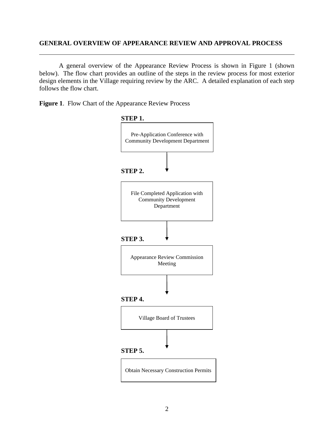## **GENERAL OVERVIEW OF APPEARANCE REVIEW AND APPROVAL PROCESS**

A general overview of the Appearance Review Process is shown in Figure 1 (shown below). The flow chart provides an outline of the steps in the review process for most exterior design elements in the Village requiring review by the ARC. A detailed explanation of each step follows the flow chart.

**Figure 1**. Flow Chart of the Appearance Review Process

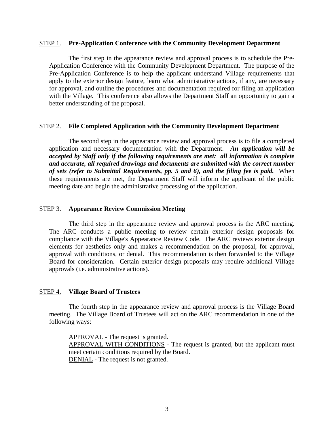#### STEP 1. **Pre-Application Conference with the Community Development Department**

The first step in the appearance review and approval process is to schedule the Pre-Application Conference with the Community Development Department. The purpose of the Pre-Application Conference is to help the applicant understand Village requirements that apply to the exterior design feature, learn what administrative actions, if any, are necessary for approval, and outline the procedures and documentation required for filing an application with the Village. This conference also allows the Department Staff an opportunity to gain a better understanding of the proposal.

## STEP 2. **File Completed Application with the Community Development Department**

The second step in the appearance review and approval process is to file a completed application and necessary documentation with the Department. *An application will be accepted by Staff only if the following requirements are met: all information is complete and accurate, all required drawings and documents are submitted with the correct number of sets (refer to Submittal Requirements, pp. 5 and 6), and the filing fee is paid.* When these requirements are met, the Department Staff will inform the applicant of the public meeting date and begin the administrative processing of the application.

#### STEP 3. **Appearance Review Commission Meeting**

The third step in the appearance review and approval process is the ARC meeting. The ARC conducts a public meeting to review certain exterior design proposals for compliance with the Village's Appearance Review Code. The ARC reviews exterior design elements for aesthetics only and makes a recommendation on the proposal, for approval, approval with conditions, or denial. This recommendation is then forwarded to the Village Board for consideration. Certain exterior design proposals may require additional Village approvals (i.e. administrative actions).

#### STEP 4. **Village Board of Trustees**

The fourth step in the appearance review and approval process is the Village Board meeting. The Village Board of Trustees will act on the ARC recommendation in one of the following ways:

APPROVAL - The request is granted. APPROVAL WITH CONDITIONS - The request is granted, but the applicant must meet certain conditions required by the Board. DENIAL - The request is not granted.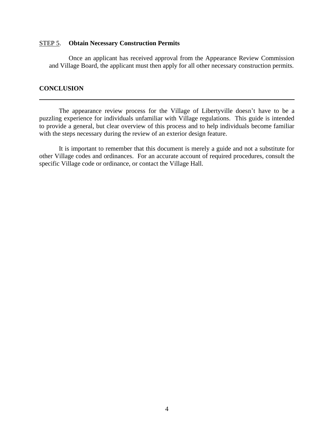#### STEP 5. **Obtain Necessary Construction Permits**

Once an applicant has received approval from the Appearance Review Commission and Village Board, the applicant must then apply for all other necessary construction permits.

## **CONCLUSION**

The appearance review process for the Village of Libertyville doesn't have to be a puzzling experience for individuals unfamiliar with Village regulations. This guide is intended to provide a general, but clear overview of this process and to help individuals become familiar with the steps necessary during the review of an exterior design feature.

It is important to remember that this document is merely a guide and not a substitute for other Village codes and ordinances. For an accurate account of required procedures, consult the specific Village code or ordinance, or contact the Village Hall.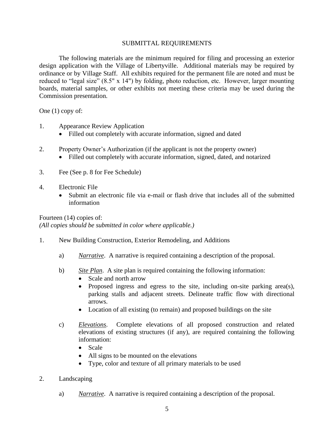#### SUBMITTAL REQUIREMENTS

The following materials are the minimum required for filing and processing an exterior design application with the Village of Libertyville. Additional materials may be required by ordinance or by Village Staff. All exhibits required for the permanent file are noted and must be reduced to "legal size" (8.5" x 14") by folding, photo reduction, etc. However, larger mounting boards, material samples, or other exhibits not meeting these criteria may be used during the Commission presentation.

One (1) copy of:

- 1. Appearance Review Application
	- Filled out completely with accurate information, signed and dated
- 2. Property Owner's Authorization (if the applicant is not the property owner)
	- Filled out completely with accurate information, signed, dated, and notarized
- 3. Fee (See p. 8 for Fee Schedule)
- 4. Electronic File
	- Submit an electronic file via e-mail or flash drive that includes all of the submitted information

Fourteen (14) copies of: *(All copies should be submitted in color where applicable.)*

- 1. New Building Construction, Exterior Remodeling, and Additions
	- a) *Narrative*. A narrative is required containing a description of the proposal.
	- b) *Site Plan*. A site plan is required containing the following information:
		- Scale and north arrow
		- Proposed ingress and egress to the site, including on-site parking area(s), parking stalls and adjacent streets. Delineate traffic flow with directional arrows.
		- Location of all existing (to remain) and proposed buildings on the site
	- c) *Elevations*. Complete elevations of all proposed construction and related elevations of existing structures (if any), are required containing the following information:
		- Scale
		- All signs to be mounted on the elevations
		- Type, color and texture of all primary materials to be used
- 2. Landscaping
	- a) *Narrative*. A narrative is required containing a description of the proposal.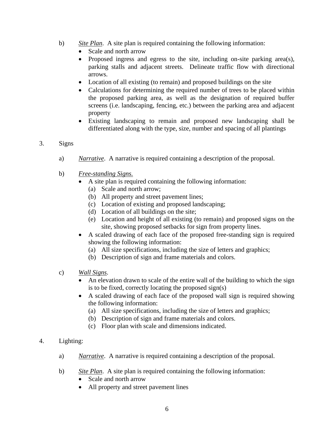- b) *Site Plan*. A site plan is required containing the following information:
	- Scale and north arrow
	- Proposed ingress and egress to the site, including on-site parking area(s), parking stalls and adjacent streets. Delineate traffic flow with directional arrows.
	- Location of all existing (to remain) and proposed buildings on the site
	- Calculations for determining the required number of trees to be placed within the proposed parking area, as well as the designation of required buffer screens (i.e. landscaping, fencing, etc.) between the parking area and adjacent property
	- Existing landscaping to remain and proposed new landscaping shall be differentiated along with the type, size, number and spacing of all plantings

# 3. Signs

- a) *Narrative*. A narrative is required containing a description of the proposal.
- b) *Free-standing Signs.*
	- A site plan is required containing the following information:
		- (a) Scale and north arrow;
		- (b) All property and street pavement lines;
		- (c) Location of existing and proposed landscaping;
		- (d) Location of all buildings on the site;
		- (e) Location and height of all existing (to remain) and proposed signs on the site, showing proposed setbacks for sign from property lines.
	- A scaled drawing of each face of the proposed free-standing sign is required showing the following information:
		- (a) All size specifications, including the size of letters and graphics;
		- (b) Description of sign and frame materials and colors.
- c) *Wall Signs*.
	- An elevation drawn to scale of the entire wall of the building to which the sign is to be fixed, correctly locating the proposed sign(s)
	- A scaled drawing of each face of the proposed wall sign is required showing the following information:
		- (a) All size specifications, including the size of letters and graphics;
		- (b) Description of sign and frame materials and colors.
		- (c) Floor plan with scale and dimensions indicated.
- 4. Lighting:
	- a) *Narrative*. A narrative is required containing a description of the proposal.
	- b) *Site Plan*. A site plan is required containing the following information:
		- Scale and north arrow
		- All property and street pavement lines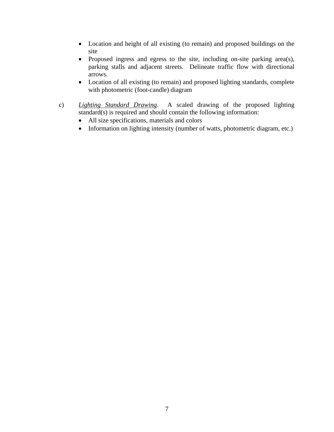- Location and height of all existing (to remain) and proposed buildings on the site
- Proposed ingress and egress to the site, including on-site parking area(s), parking stalls and adjacent streets. Delineate traffic flow with directional arrows.
- Location of all existing (to remain) and proposed lighting standards, complete with photometric (foot-candle) diagram
- c) *Lighting Standard Drawing*. A scaled drawing of the proposed lighting standard(s) is required and should contain the following information:
	- All size specifications, materials and colors
	- Information on lighting intensity (number of watts, photometric diagram, etc.)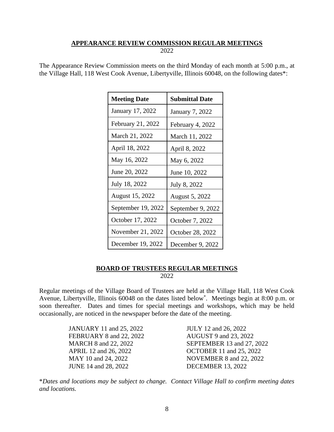# **APPEARANCE REVIEW COMMISSION REGULAR MEETINGS**

2022

The Appearance Review Commission meets on the third Monday of each month at 5:00 p.m., at the Village Hall, 118 West Cook Avenue, Libertyville, Illinois 60048, on the following dates\*:

| <b>Meeting Date</b> | <b>Submittal Date</b>  |
|---------------------|------------------------|
| January 17, 2022    | <b>January 7, 2022</b> |
| February 21, 2022   | February 4, 2022       |
| March 21, 2022      | March 11, 2022         |
| April 18, 2022      | April 8, 2022          |
| May 16, 2022        | May 6, 2022            |
| June 20, 2022       | June 10, 2022          |
| July 18, 2022       | July 8, 2022           |
| August 15, 2022     | August 5, 2022         |
| September 19, 2022  | September 9, 2022      |
| October 17, 2022    | October 7, 2022        |
| November 21, 2022   | October 28, 2022       |
| December 19, 2022   | December 9, 2022       |

# **BOARD OF TRUSTEES REGULAR MEETINGS**

2022

Regular meetings of the Village Board of Trustees are held at the Village Hall, 118 West Cook Avenue, Libertyville, Illinois 60048 on the dates listed below\* . Meetings begin at 8:00 p.m. or soon thereafter. Dates and times for special meetings and workshops, which may be held occasionally, are noticed in the newspaper before the date of the meeting.

> JANUARY 11 and 25, 2022 JULY 12 and 26, 2022 FEBRUARY 8 and 22, 2022 AUGUST 9 and 23, 2022 JUNE 14 and 28, 2022 DECEMBER 13, 2022

MARCH 8 and 22, 2022 SEPTEMBER 13 and 27, 2022 APRIL 12 and 26, 2022 OCTOBER 11 and 25, 2022 MAY 10 and 24, 2022 NOVEMBER 8 and 22, 2022

\**Dates and locations may be subject to change. Contact Village Hall to confirm meeting dates and locations.*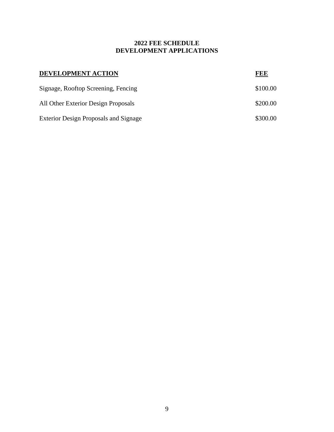# **2022 FEE SCHEDULE DEVELOPMENT APPLICATIONS**

| DEVELOPMENT ACTION                           | REE      |
|----------------------------------------------|----------|
| Signage, Rooftop Screening, Fencing          | \$100.00 |
| All Other Exterior Design Proposals          | \$200.00 |
| <b>Exterior Design Proposals and Signage</b> | \$300.00 |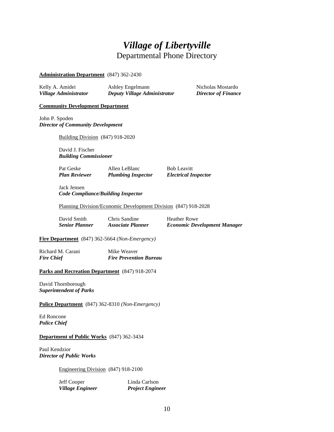# *Village of Libertyville* Departmental Phone Directory

#### **Administration Department** (847) 362-2430

| Kelly A. Amidei       | Ashley Engelmann             | Nicholas Mostardo          |
|-----------------------|------------------------------|----------------------------|
| Village Administrator | Deputy Village Administrator | <b>Director of Finance</b> |

#### **Community Development Department**

John P. Spoden *Director of Community Development*

Building Division (847) 918-2020

David J. Fischer *Building Commissioner*

Pat Geske Allen LeBlanc Bob Leavitt *Plan Reviewer Plumbing Inspector Electrical Inspector*

Jack Jensen *Code Compliance/Building Inspector*

Planning Division/Economic Development Division (847) 918-2028

| David Smith           | Chris Sandine            | <b>Heather Rowe</b>                 |
|-----------------------|--------------------------|-------------------------------------|
| <b>Senior Planner</b> | <b>Associate Planner</b> | <b>Economic Development Manager</b> |

**Fire Department** (847) 362-5664 *(Non-Emergency)*

Richard M. Carani Mike Weaver *Fire Chief Fire Prevention Bureau*

#### **Parks and Recreation Department** (847) 918-2074

David Thornborough *Superintendent of Parks*

**Police Department** (847) 362-8310 *(Non-Emergency)*

Ed Roncone *Police Chief*

#### **Department of Public Works** (847) 362-3434

Paul Kendzior *Director of Public Works*

Engineering Division (847) 918-2100

Jeff Cooper Linda Carlson *Village Engineer Project Engineer*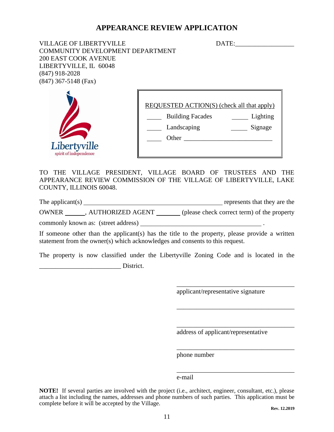# **APPEARANCE REVIEW APPLICATION**

VILLAGE OF LIBERTYVILLE DATE:\_\_\_\_\_\_\_\_\_\_\_\_\_\_\_\_\_\_ COMMUNITY DEVELOPMENT DEPARTMENT 200 EAST COOK AVENUE LIBERTYVILLE, IL 60048 (847) 918-2028 (847) 367-5148 (Fax)



REQUESTED ACTION(S) (check all that apply)

Building Facades <u>Lighting</u>

Landscaping Signage  $\Box$  Other  $\Box$ 

TO THE VILLAGE PRESIDENT, VILLAGE BOARD OF TRUSTEES AND THE APPEARANCE REVIEW COMMISSION OF THE VILLAGE OF LIBERTYVILLE, LAKE COUNTY, ILLINOIS 60048.

The applicant(s) represents that they are the

OWNER , AUTHORIZED AGENT (please check correct term) of the property

commonly known as: (street address)

If someone other than the applicant(s) has the title to the property, please provide a written statement from the owner(s) which acknowledges and consents to this request.

The property is now classified under the Libertyville Zoning Code and is located in the \_\_\_\_\_\_\_\_\_\_\_\_\_\_\_\_\_\_\_\_\_\_\_\_\_ District.

applicant/representative signature

\_\_\_\_\_\_\_\_\_\_\_\_\_\_\_\_\_\_\_\_\_\_\_\_\_\_\_\_\_\_\_\_\_\_\_\_

\_\_\_\_\_\_\_\_\_\_\_\_\_\_\_\_\_\_\_\_\_\_\_\_\_\_\_\_\_\_\_\_\_\_\_\_

\_\_\_\_\_\_\_\_\_\_\_\_\_\_\_\_\_\_\_\_\_\_\_\_\_\_\_\_\_\_\_\_\_\_\_\_

\_\_\_\_\_\_\_\_\_\_\_\_\_\_\_\_\_\_\_\_\_\_\_\_\_\_\_\_\_\_\_\_\_\_\_\_

\_\_\_\_\_\_\_\_\_\_\_\_\_\_\_\_\_\_\_\_\_\_\_\_\_\_\_\_\_\_\_\_\_\_\_\_

address of applicant/representative

phone number

e-mail

**NOTE!** If several parties are involved with the project (i.e., architect, engineer, consultant, etc.), please attach a list including the names, addresses and phone numbers of such parties. This application must be complete before it will be accepted by the Village.